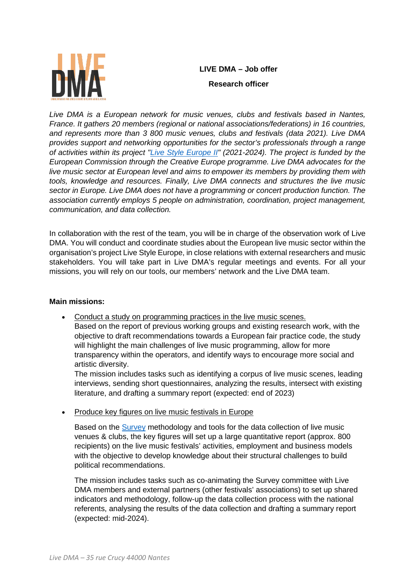

# **LIVE DMA – Job offer Research officer**

Live DMA is a European network for music venues, clubs and festivals based in Nantes, *France. It gathers 20 members (regional or national associations/federations) in 16 countries, and represents more than 3 800 music venues, clubs and festivals (data 2021). Live DMA provides support and networking opportunities for the sector's professionals through a range of activities within its project ["Live Style Europe II"](https://www.live-dma.eu/live-style-europe-2/) (2021-2024). The project is funded by the European Commission through the Creative Europe programme. Live DMA advocates for the live music sector at European level and aims to empower its members by providing them with tools, knowledge and resources. Finally, Live DMA connects and structures the live music sector in Europe. Live DMA does not have a programming or concert production function. The association currently employs 5 people on administration, coordination, project management, communication, and data collection.* 

In collaboration with the rest of the team, you will be in charge of the observation work of Live DMA. You will conduct and coordinate studies about the European live music sector within the organisation's project Live Style Europe, in close relations with external researchers and music stakeholders. You will take part in Live DMA's regular meetings and events. For all your missions, you will rely on our tools, our members' network and the Live DMA team.

## **Main missions:**

• Conduct a study on programming practices in the live music scenes. Based on the report of previous working groups and existing research work, with the objective to draft recommendations towards a European fair practice code, the study will highlight the main challenges of live music programming, allow for more transparency within the operators, and identify ways to encourage more social and artistic diversity.

The mission includes tasks such as identifying a corpus of live music scenes, leading interviews, sending short questionnaires, analyzing the results, intersect with existing literature, and drafting a summary report (expected: end of 2023)

• Produce key figures on live music festivals in Europe

Based on the [Survey](https://www.live-dma.eu/the-survey/) methodology and tools for the data collection of live music venues & clubs, the key figures will set up a large quantitative report (approx. 800 recipients) on the live music festivals' activities, employment and business models with the objective to develop knowledge about their structural challenges to build political recommendations.

The mission includes tasks such as co-animating the Survey committee with Live DMA members and external partners (other festivals' associations) to set up shared indicators and methodology, follow-up the data collection process with the national referents, analysing the results of the data collection and drafting a summary report (expected: mid-2024).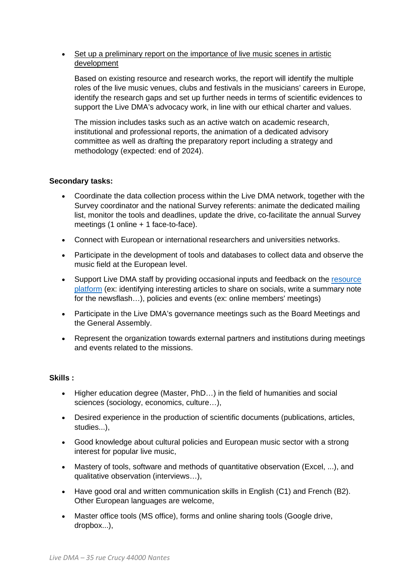### • Set up a preliminary report on the importance of live music scenes in artistic development

Based on existing resource and research works, the report will identify the multiple roles of the live music venues, clubs and festivals in the musicians' careers in Europe, identify the research gaps and set up further needs in terms of scientific evidences to support the Live DMA's advocacy work, in line with our ethical charter and values.

The mission includes tasks such as an active watch on academic research, institutional and professional reports, the animation of a dedicated advisory committee as well as drafting the preparatory report including a strategy and methodology (expected: end of 2024).

#### **Secondary tasks:**

- Coordinate the data collection process within the Live DMA network, together with the Survey coordinator and the national Survey referents: animate the dedicated mailing list, monitor the tools and deadlines, update the drive, co-facilitate the annual Survey meetings (1 online + 1 face-to-face).
- Connect with European or international researchers and universities networks.
- Participate in the development of tools and databases to collect data and observe the music field at the European level.
- Support Live DMA staff by providing occasional inputs and feedback on the [resource](https://www.live-dma.eu/resource-platform/)  [platform](https://www.live-dma.eu/resource-platform/) (ex: identifying interesting articles to share on socials, write a summary note for the newsflash…), policies and events (ex: online members' meetings)
- Participate in the Live DMA's governance meetings such as the Board Meetings and the General Assembly.
- Represent the organization towards external partners and institutions during meetings and events related to the missions.

#### **Skills :**

- Higher education degree (Master, PhD…) in the field of humanities and social sciences (sociology, economics, culture…),
- Desired experience in the production of scientific documents (publications, articles, studies...),
- Good knowledge about cultural policies and European music sector with a strong interest for popular live music,
- Mastery of tools, software and methods of quantitative observation (Excel, ...), and qualitative observation (interviews…),
- Have good oral and written communication skills in English (C1) and French (B2). Other European languages are welcome,
- Master office tools (MS office), forms and online sharing tools (Google drive, dropbox...),